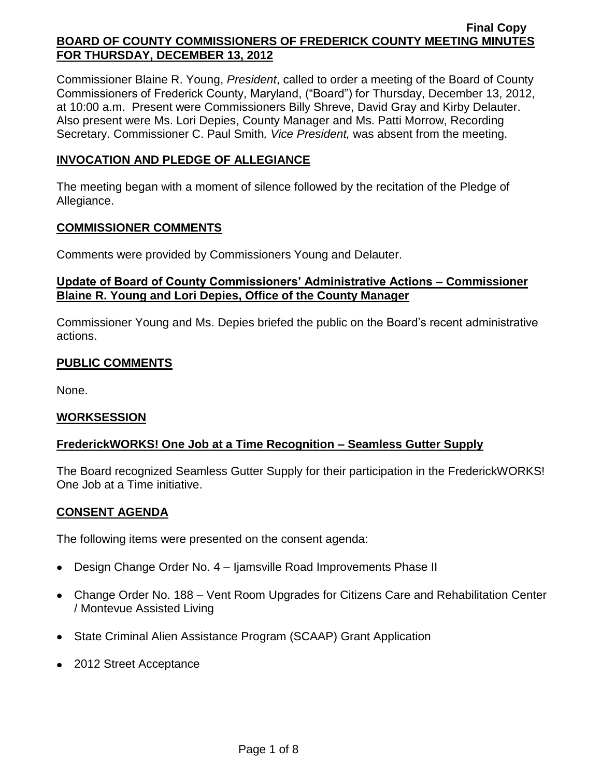Commissioner Blaine R. Young, *President*, called to order a meeting of the Board of County Commissioners of Frederick County, Maryland, ("Board") for Thursday, December 13, 2012, at 10:00 a.m. Present were Commissioners Billy Shreve, David Gray and Kirby Delauter. Also present were Ms. Lori Depies, County Manager and Ms. Patti Morrow, Recording Secretary. Commissioner C. Paul Smith*, Vice President,* was absent from the meeting.

# **INVOCATION AND PLEDGE OF ALLEGIANCE**

The meeting began with a moment of silence followed by the recitation of the Pledge of Allegiance.

### **COMMISSIONER COMMENTS**

Comments were provided by Commissioners Young and Delauter.

## **Update of Board of County Commissioners' Administrative Actions – Commissioner Blaine R. Young and Lori Depies, Office of the County Manager**

Commissioner Young and Ms. Depies briefed the public on the Board's recent administrative actions.

# **PUBLIC COMMENTS**

None.

## **WORKSESSION**

## **FrederickWORKS! One Job at a Time Recognition – Seamless Gutter Supply**

The Board recognized Seamless Gutter Supply for their participation in the FrederickWORKS! One Job at a Time initiative.

### **CONSENT AGENDA**

The following items were presented on the consent agenda:

- Design Change Order No. 4 Ijamsville Road Improvements Phase II  $\bullet$
- Change Order No. 188 Vent Room Upgrades for Citizens Care and Rehabilitation Center / Montevue Assisted Living
- State Criminal Alien Assistance Program (SCAAP) Grant Application
- 2012 Street Acceptance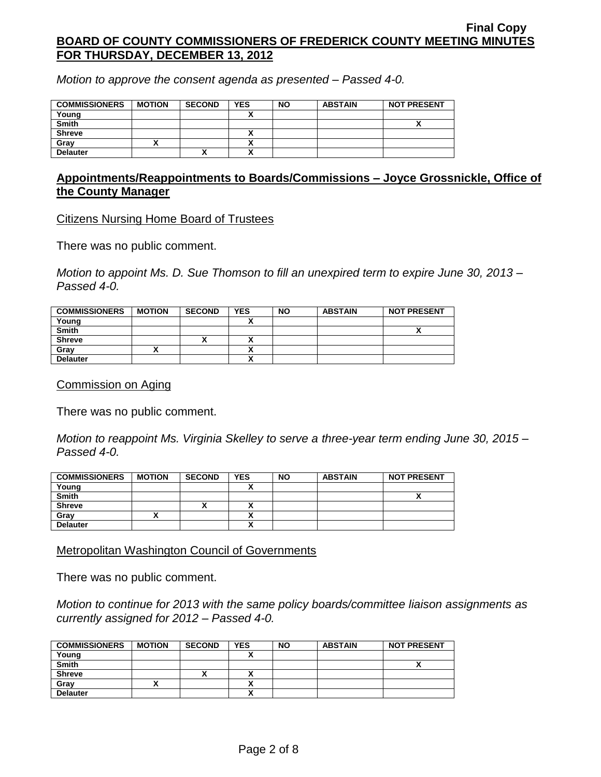*Motion to approve the consent agenda as presented – Passed 4-0.*

| <b>COMMISSIONERS</b> | <b>MOTION</b> | <b>SECOND</b> | <b>YES</b>               | <b>NO</b> | <b>ABSTAIN</b> | <b>NOT PRESENT</b> |
|----------------------|---------------|---------------|--------------------------|-----------|----------------|--------------------|
| Young                |               |               |                          |           |                |                    |
| <b>Smith</b>         |               |               |                          |           |                |                    |
| <b>Shreve</b>        |               |               |                          |           |                |                    |
| Gray                 |               |               | $\overline{\phantom{a}}$ |           |                |                    |
| <b>Delauter</b>      |               | ́             |                          |           |                |                    |

### **Appointments/Reappointments to Boards/Commissions – Joyce Grossnickle, Office of the County Manager**

Citizens Nursing Home Board of Trustees

There was no public comment.

*Motion to appoint Ms. D. Sue Thomson to fill an unexpired term to expire June 30, 2013 – Passed 4-0.*

| <b>COMMISSIONERS</b> | <b>MOTION</b> | <b>SECOND</b> | <b>YES</b>               | <b>NO</b> | <b>ABSTAIN</b> | <b>NOT PRESENT</b> |
|----------------------|---------------|---------------|--------------------------|-----------|----------------|--------------------|
| Young                |               |               |                          |           |                |                    |
| <b>Smith</b>         |               |               |                          |           |                |                    |
| <b>Shreve</b>        |               |               |                          |           |                |                    |
| Gray                 |               |               |                          |           |                |                    |
| <b>Delauter</b>      |               |               | $\overline{\phantom{a}}$ |           |                |                    |

Commission on Aging

There was no public comment.

*Motion to reappoint Ms. Virginia Skelley to serve a three-year term ending June 30, 2015 – Passed 4-0.*

| <b>COMMISSIONERS</b> | <b>MOTION</b> | <b>SECOND</b> | <b>YES</b> | <b>NO</b> | <b>ABSTAIN</b> | <b>NOT PRESENT</b> |
|----------------------|---------------|---------------|------------|-----------|----------------|--------------------|
| Young                |               |               |            |           |                |                    |
| <b>Smith</b>         |               |               |            |           |                |                    |
| <b>Shreve</b>        |               | ^             |            |           |                |                    |
| Gray                 |               |               |            |           |                |                    |
| <b>Delauter</b>      |               |               |            |           |                |                    |

Metropolitan Washington Council of Governments

There was no public comment.

*Motion to continue for 2013 with the same policy boards/committee liaison assignments as currently assigned for 2012 – Passed 4-0.*

| <b>COMMISSIONERS</b> | <b>MOTION</b> | <b>SECOND</b> | <b>YES</b> | <b>NO</b> | <b>ABSTAIN</b> | <b>NOT PRESENT</b> |
|----------------------|---------------|---------------|------------|-----------|----------------|--------------------|
| Young                |               |               |            |           |                |                    |
| <b>Smith</b>         |               |               |            |           |                |                    |
| <b>Shreve</b>        |               | ^             |            |           |                |                    |
| Grav                 |               |               |            |           |                |                    |
| <b>Delauter</b>      |               |               |            |           |                |                    |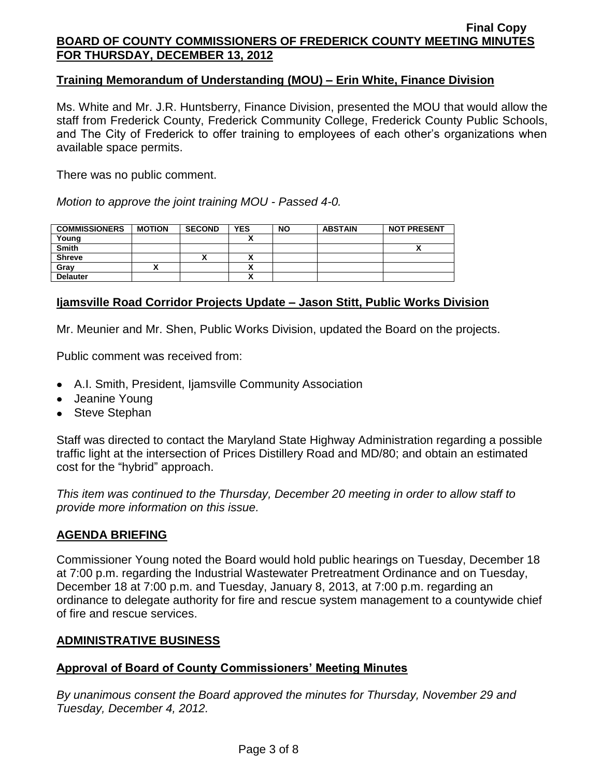### **Training Memorandum of Understanding (MOU) – Erin White, Finance Division**

Ms. White and Mr. J.R. Huntsberry, Finance Division, presented the MOU that would allow the staff from Frederick County, Frederick Community College, Frederick County Public Schools, and The City of Frederick to offer training to employees of each other's organizations when available space permits.

There was no public comment.

*Motion to approve the joint training MOU - Passed 4-0.*

| <b>COMMISSIONERS</b> | <b>MOTION</b> | <b>SECOND</b> | <b>YES</b> | <b>NO</b> | <b>ABSTAIN</b> | <b>NOT PRESENT</b> |
|----------------------|---------------|---------------|------------|-----------|----------------|--------------------|
| Young                |               |               |            |           |                |                    |
| <b>Smith</b>         |               |               |            |           |                |                    |
| <b>Shreve</b>        |               | ́             |            |           |                |                    |
| Gray                 |               |               |            |           |                |                    |
| <b>Delauter</b>      |               |               | ~          |           |                |                    |

# **Ijamsville Road Corridor Projects Update – Jason Stitt, Public Works Division**

Mr. Meunier and Mr. Shen, Public Works Division, updated the Board on the projects.

Public comment was received from:

- A.I. Smith, President, Ijamsville Community Association
- Jeanine Young
- Steve Stephan

Staff was directed to contact the Maryland State Highway Administration regarding a possible traffic light at the intersection of Prices Distillery Road and MD/80; and obtain an estimated cost for the "hybrid" approach.

*This item was continued to the Thursday, December 20 meeting in order to allow staff to provide more information on this issue.*

## **AGENDA BRIEFING**

Commissioner Young noted the Board would hold public hearings on Tuesday, December 18 at 7:00 p.m. regarding the Industrial Wastewater Pretreatment Ordinance and on Tuesday, December 18 at 7:00 p.m. and Tuesday, January 8, 2013, at 7:00 p.m. regarding an ordinance to delegate authority for fire and rescue system management to a countywide chief of fire and rescue services.

## **ADMINISTRATIVE BUSINESS**

## **Approval of Board of County Commissioners' Meeting Minutes**

*By unanimous consent the Board approved the minutes for Thursday, November 29 and Tuesday, December 4, 2012.*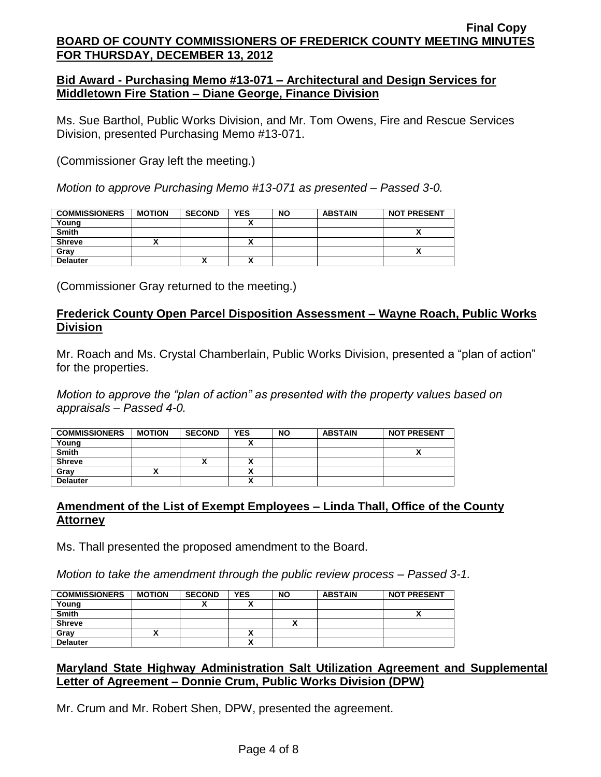# **Bid Award - Purchasing Memo #13-071 – Architectural and Design Services for Middletown Fire Station – Diane George, Finance Division**

Ms. Sue Barthol, Public Works Division, and Mr. Tom Owens, Fire and Rescue Services Division, presented Purchasing Memo #13-071.

(Commissioner Gray left the meeting.)

*Motion to approve Purchasing Memo #13-071 as presented – Passed 3-0.*

| <b>COMMISSIONERS</b> | <b>MOTION</b> | <b>SECOND</b> | <b>YES</b> | <b>NO</b> | <b>ABSTAIN</b> | <b>NOT PRESENT</b> |
|----------------------|---------------|---------------|------------|-----------|----------------|--------------------|
| Young                |               |               |            |           |                |                    |
| <b>Smith</b>         |               |               |            |           |                |                    |
| <b>Shreve</b>        |               |               |            |           |                |                    |
| Gray                 |               |               |            |           |                |                    |
| <b>Delauter</b>      |               | Λ             |            |           |                |                    |

(Commissioner Gray returned to the meeting.)

# **Frederick County Open Parcel Disposition Assessment – Wayne Roach, Public Works Division**

Mr. Roach and Ms. Crystal Chamberlain, Public Works Division, presented a "plan of action" for the properties.

*Motion to approve the "plan of action" as presented with the property values based on appraisals – Passed 4-0.*

| <b>COMMISSIONERS</b> | <b>MOTION</b> | <b>SECOND</b> | <b>YES</b> | <b>NO</b> | <b>ABSTAIN</b> | <b>NOT PRESENT</b> |
|----------------------|---------------|---------------|------------|-----------|----------------|--------------------|
| Young                |               |               |            |           |                |                    |
| <b>Smith</b>         |               |               |            |           |                |                    |
| <b>Shreve</b>        |               |               |            |           |                |                    |
| Grav                 |               |               |            |           |                |                    |
| <b>Delauter</b>      |               |               | ^          |           |                |                    |

# **Amendment of the List of Exempt Employees – Linda Thall, Office of the County Attorney**

Ms. Thall presented the proposed amendment to the Board.

*Motion to take the amendment through the public review process – Passed 3-1.*

| <b>COMMISSIONERS</b> | <b>MOTION</b> | <b>SECOND</b> | <b>YES</b> | <b>NO</b> | <b>ABSTAIN</b> | <b>NOT PRESENT</b> |
|----------------------|---------------|---------------|------------|-----------|----------------|--------------------|
| Young                |               |               |            |           |                |                    |
| <b>Smith</b>         |               |               |            |           |                |                    |
| <b>Shreve</b>        |               |               |            |           |                |                    |
| Gray                 |               |               |            |           |                |                    |
| <b>Delauter</b>      |               |               |            |           |                |                    |

# **Maryland State Highway Administration Salt Utilization Agreement and Supplemental Letter of Agreement – Donnie Crum, Public Works Division (DPW)**

Mr. Crum and Mr. Robert Shen, DPW, presented the agreement.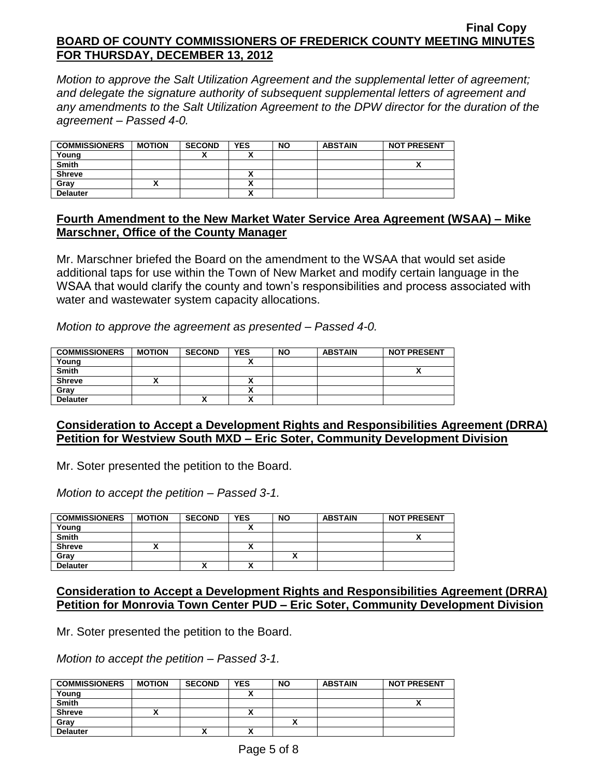*Motion to approve the Salt Utilization Agreement and the supplemental letter of agreement; and delegate the signature authority of subsequent supplemental letters of agreement and any amendments to the Salt Utilization Agreement to the DPW director for the duration of the agreement – Passed 4-0.*

| <b>COMMISSIONERS</b> | <b>MOTION</b> | <b>SECOND</b> | <b>YES</b> | <b>NO</b> | <b>ABSTAIN</b> | <b>NOT PRESENT</b> |
|----------------------|---------------|---------------|------------|-----------|----------------|--------------------|
| Young                |               |               |            |           |                |                    |
| <b>Smith</b>         |               |               |            |           |                |                    |
| <b>Shreve</b>        |               |               |            |           |                |                    |
| Grav                 |               |               |            |           |                |                    |
| <b>Delauter</b>      |               |               | ٠.<br>,,   |           |                |                    |

## **Fourth Amendment to the New Market Water Service Area Agreement (WSAA) – Mike Marschner, Office of the County Manager**

Mr. Marschner briefed the Board on the amendment to the WSAA that would set aside additional taps for use within the Town of New Market and modify certain language in the WSAA that would clarify the county and town's responsibilities and process associated with water and wastewater system capacity allocations.

*Motion to approve the agreement as presented – Passed 4-0.*

| <b>COMMISSIONERS</b> | <b>MOTION</b> | <b>SECOND</b> | <b>YES</b> | <b>NO</b> | <b>ABSTAIN</b> | <b>NOT PRESENT</b> |
|----------------------|---------------|---------------|------------|-----------|----------------|--------------------|
| Young                |               |               |            |           |                |                    |
| <b>Smith</b>         |               |               |            |           |                |                    |
| <b>Shreve</b>        |               |               |            |           |                |                    |
| Gray                 |               |               |            |           |                |                    |
| <b>Delauter</b>      |               | ́             | ^          |           |                |                    |

## **Consideration to Accept a Development Rights and Responsibilities Agreement (DRRA) Petition for Westview South MXD – Eric Soter, Community Development Division**

Mr. Soter presented the petition to the Board.

*Motion to accept the petition – Passed 3-1.*

| <b>COMMISSIONERS</b> | <b>MOTION</b> | <b>SECOND</b> | <b>YES</b>               | <b>NO</b> | <b>ABSTAIN</b> | <b>NOT PRESENT</b> |
|----------------------|---------------|---------------|--------------------------|-----------|----------------|--------------------|
| Young                |               |               |                          |           |                |                    |
| <b>Smith</b>         |               |               |                          |           |                | ,,                 |
| <b>Shreve</b>        |               |               | $\overline{\phantom{a}}$ |           |                |                    |
| Gray                 |               |               |                          |           |                |                    |
| <b>Delauter</b>      |               |               |                          |           |                |                    |

## **Consideration to Accept a Development Rights and Responsibilities Agreement (DRRA) Petition for Monrovia Town Center PUD – Eric Soter, Community Development Division**

Mr. Soter presented the petition to the Board.

*Motion to accept the petition – Passed 3-1.*

| <b>COMMISSIONERS</b> | <b>MOTION</b> | <b>SECOND</b> | <b>YES</b> | <b>NO</b> | <b>ABSTAIN</b> | <b>NOT PRESENT</b> |
|----------------------|---------------|---------------|------------|-----------|----------------|--------------------|
| Young                |               |               |            |           |                |                    |
| <b>Smith</b>         |               |               |            |           |                |                    |
| <b>Shreve</b>        |               |               |            |           |                |                    |
| Gray                 |               |               |            |           |                |                    |
| <b>Delauter</b>      |               | ٠.<br>Λ       |            |           |                |                    |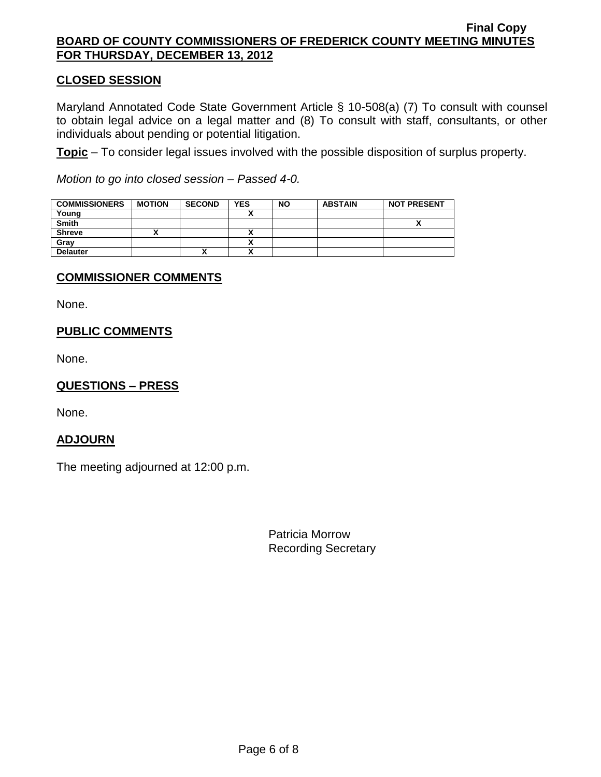# **CLOSED SESSION**

Maryland Annotated Code State Government Article § 10-508(a) (7) To consult with counsel to obtain legal advice on a legal matter and (8) To consult with staff, consultants, or other individuals about pending or potential litigation.

**Topic** – To consider legal issues involved with the possible disposition of surplus property.

*Motion to go into closed session – Passed 4-0.*

| <b>COMMISSIONERS</b> | <b>MOTION</b> | <b>SECOND</b> | <b>YES</b> | <b>NO</b> | <b>ABSTAIN</b> | <b>NOT PRESENT</b> |
|----------------------|---------------|---------------|------------|-----------|----------------|--------------------|
| Young                |               |               |            |           |                |                    |
| <b>Smith</b>         |               |               |            |           |                | ↗                  |
| <b>Shreve</b>        |               |               |            |           |                |                    |
| Gray                 |               |               | ,,         |           |                |                    |
| <b>Delauter</b>      |               |               |            |           |                |                    |

### **COMMISSIONER COMMENTS**

None.

# **PUBLIC COMMENTS**

None.

## **QUESTIONS – PRESS**

None.

## **ADJOURN**

The meeting adjourned at 12:00 p.m.

Patricia Morrow Recording Secretary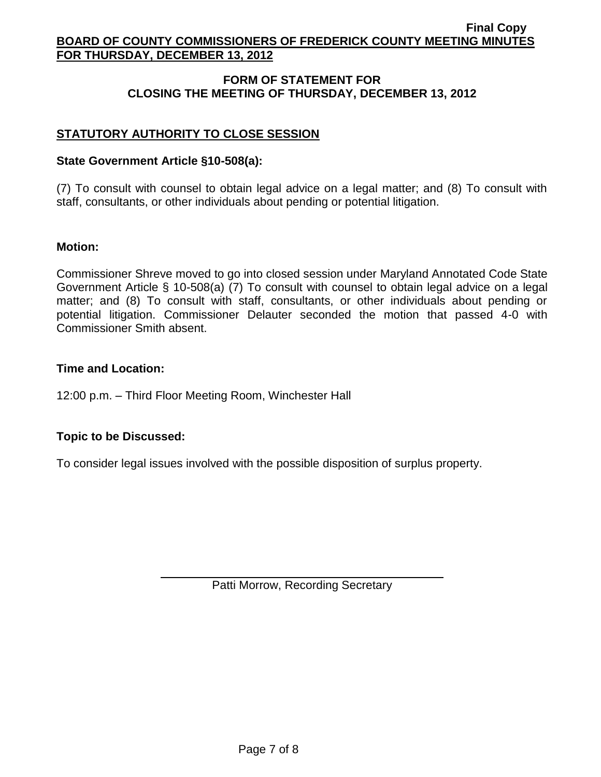# **FORM OF STATEMENT FOR CLOSING THE MEETING OF THURSDAY, DECEMBER 13, 2012**

# **STATUTORY AUTHORITY TO CLOSE SESSION**

### **State Government Article §10-508(a):**

(7) To consult with counsel to obtain legal advice on a legal matter; and (8) To consult with staff, consultants, or other individuals about pending or potential litigation.

### **Motion:**

Commissioner Shreve moved to go into closed session under Maryland Annotated Code State Government Article § 10-508(a) (7) To consult with counsel to obtain legal advice on a legal matter; and (8) To consult with staff, consultants, or other individuals about pending or potential litigation. Commissioner Delauter seconded the motion that passed 4-0 with Commissioner Smith absent.

### **Time and Location:**

12:00 p.m. – Third Floor Meeting Room, Winchester Hall

## **Topic to be Discussed:**

To consider legal issues involved with the possible disposition of surplus property.

Patti Morrow, Recording Secretary